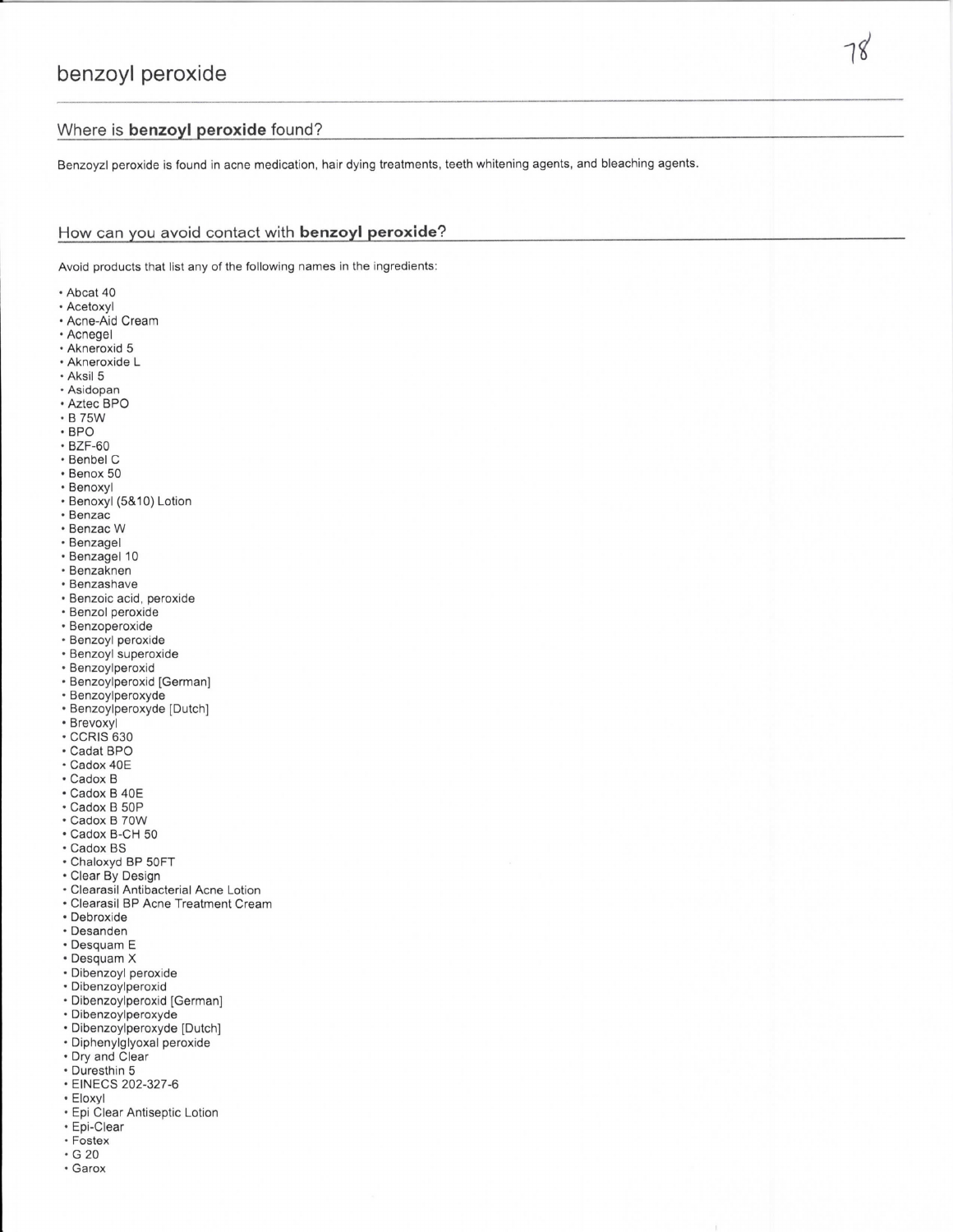Benzoyzl peroxide is found in acne medication, hair dying treatments, teeth whitening agents, and bleaching agents.

## How can you avoid contact with benzoyl peroxide?

Avoid products that list any of the following names in the ingredients:

- Abcat 40
- Acetoxyl
- Acne-Aid Cream
- Acnegel
- · Akneroxid 5 • Akneroxide L
- · Aksil 5
- 
- Asidopan · Aztec BPO
- B 75W
- $\cdot$  BPO
- $\cdot$  BZF-60
- Benbel C
- · Benox 50
- Benoxyl
- · Benoxyl (5&10) Lotion
- · Benzac
- Benzac W
- · Benzagel
- 
- · Benzagel 10
- Benzaknen · Benzashave
- 
- · Benzoic acid, peroxide
- · Benzol peroxide · Benzoperoxide
- · Benzoyl peroxide
- · Benzoyl superoxide
- · Benzoylperoxid
- · Benzoylperoxid [German]
- · Benzoylperoxyde
- · Benzoylperoxyde [Dutch]
- Brevoxyl
- · CCRIS 630
- · Cadat BPO
- · Cadox 40E
- $\cdot$  Cadox B
- Cadox B 40E
- · Cadox B 50P
- Cadox B 70W
- · Cadox B-CH 50
- · Cadox BS
- · Chaloxyd BP 50FT
- Clear By Design
- · Clearasil Antibacterial Acne Lotion
- Clearasil BP Acne Treatment Cream
- · Debroxide
- · Desanden
- Desquam E
- · Desquam X
- · Dibenzoyl peroxide
- · Dibenzoylperoxid
- · Dibenzoylperoxid [German]
- · Dibenzoylperoxyde
- · Dibenzoylperoxyde [Dutch]
- · Diphenylglyoxal peroxide
- Dry and Clear
- Duresthin 5
- · EINECS 202-327-6
- Eloxyl
- · Epi Clear Antiseptic Lotion
- · Epi-Clear
- · Fostex  $\cdot$  G 20
- · Garox